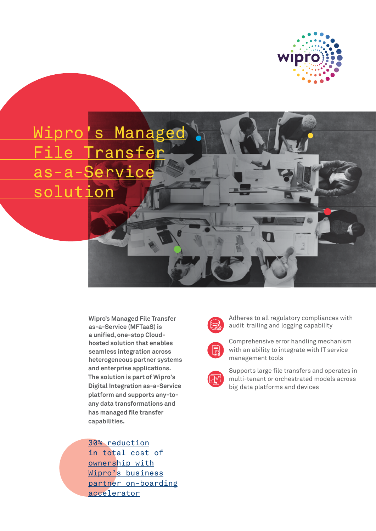

 Wipro's Managed ransfer s-a-Servi solution

> **Wipro's Managed File Transfer as-a-Service (MFTaaS) is a unified, one-stop Cloudhosted solution that enables seamless integration across heterogeneous partner systems and enterprise applications. The solution is part of Wipro's Digital Integration as-a-Service platform and supports any-toany data transformations and has managed file transfer capabilities.**

30% reduction in total cost of ownership with Wipro's business partner on-boarding accelerator



Adheres to all regulatory compliances with audit trailing and logging capability

Comprehensive error handling mechanism with an ability to integrate with IT service management tools



Supports large file transfers and operates in multi-tenant or orchestrated models across big data platforms and devices